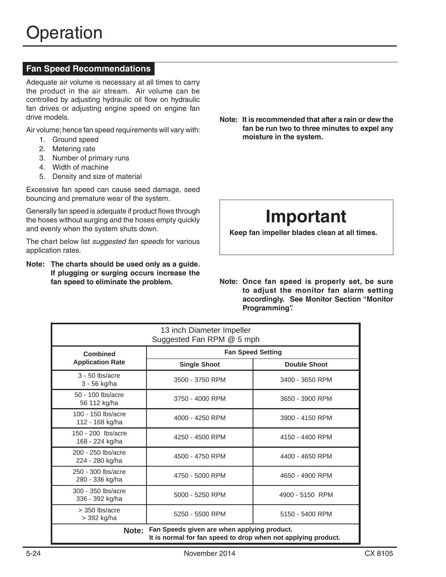## **Fan Speed Recommendations**

Adequate air volume is necessary at all times to carry the product in the air stream. Air volume can be controlled by adjusting hydraulic oil flow on hydraulic fan drives or adjusting engine speed on engine fan drive models.

Air volume; hence fan speed requirements will vary with:

- 1. Ground speed
- 2. Metering rate
- 3. Number of primary runs
- 4. Width of machine
- 5. Density and size of material

Excessive fan speed can cause seed damage, seed bouncing and premature wear of the system.

Generally fan speed is adequate if product flows through the hoses without surging and the hoses empty quickly and evenly when the system shuts down.

The chart below list *suggested fan speeds* for various application rates.

## **Note: The charts should be used only as a guide. If plugging or surging occurs increase the**

Note: It is recommended that after a rain or dew the fan be run two to three minutes to expel any moisture in the system.

# **Important**

Keep fan impeller blades clean at all times.

**Note: Once fan speed is properly set, be sure** to adjust the monitor fan alarm setting accordingly. See Monitor Section "Monitor **Programming**".

| 13 inch Diameter Impeller<br>Suggested Fan RPM @ 5 mph                                                                |                          |                     |  |  |  |
|-----------------------------------------------------------------------------------------------------------------------|--------------------------|---------------------|--|--|--|
| <b>Combined</b><br><b>Application Rate</b>                                                                            | <b>Fan Speed Setting</b> |                     |  |  |  |
|                                                                                                                       | <b>Single Shoot</b>      | <b>Double Shoot</b> |  |  |  |
| $3 - 50$ lbs/acre<br>3 - 56 kg/ha                                                                                     | 3500 - 3750 RPM          | 3400 - 3650 RPM     |  |  |  |
| 50 - 100 lbs/acre<br>56 112 kg/ha                                                                                     | 3750 - 4000 RPM          | 3650 - 3900 RPM     |  |  |  |
| 100 - 150 lbs/acre<br>112 - 168 kg/ha                                                                                 | 4000 - 4250 RPM          | 3900 - 4150 RPM     |  |  |  |
| 150 - 200 lbs/acre<br>168 - 224 kg/ha                                                                                 | 4250 - 4500 RPM          | 4150 - 4400 RPM     |  |  |  |
| 200 - 250 lbs/acre<br>224 - 280 kg/ha                                                                                 | 4500 - 4750 RPM          | 4400 - 4650 RPM     |  |  |  |
| 250 - 300 lbs/acre<br>280 - 336 kg/ha                                                                                 | 4750 - 5000 RPM          | 4650 - 4900 RPM     |  |  |  |
| 300 - 350 lbs/acre<br>336 - 392 kg/ha                                                                                 | 5000 - 5250 RPM          | 4900 - 5150 RPM     |  |  |  |
| $>$ 350 lbs/acre<br>> 392 kg/ha                                                                                       | 5250 - 5500 RPM          | 5150 - 5400 RPM     |  |  |  |
| Fan Speeds given are when applying product.<br>Note:<br>It is normal for fan speed to drop when not applying product. |                          |                     |  |  |  |